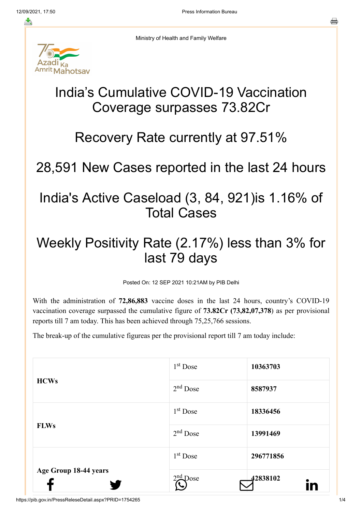

Ministry of Health and Family Welfare

# India's Cumulative COVID-19 Vaccination Coverage surpasses 73.82Cr

#### Recovery Rate currently at 97.51%

# 28,591 New Cases reported in the last 24 hours

### India's Active Caseload (3, 84, 921)is 1.16% of Total Cases

## Weekly Positivity Rate (2.17%) less than 3% for last 79 days

Posted On: 12 SEP 2021 10:21AM by PIB Delhi

With the administration of **72,86,883** vaccine doses in the last 24 hours, country's COVID-19 vaccination coverage surpassed the cumulative figure of **73.82Cr (73,82,07,378**) as per provisional reports till 7 am today. This has been achieved through 75,25,766 sessions.

The break-up of the cumulative figureas per the provisional report till 7 am today include:

|                       | 1 <sup>st</sup> Dose | 10363703  |
|-----------------------|----------------------|-----------|
| <b>HCWs</b>           | $2nd$ Dose           | 8587937   |
|                       | $1st$ Dose           | 18336456  |
| <b>FLWs</b>           | $2nd$ Dose           | 13991469  |
|                       | $1st$ Dose           | 296771856 |
| Age Group 18-44 years | $2nd$ Dose           | 42838102  |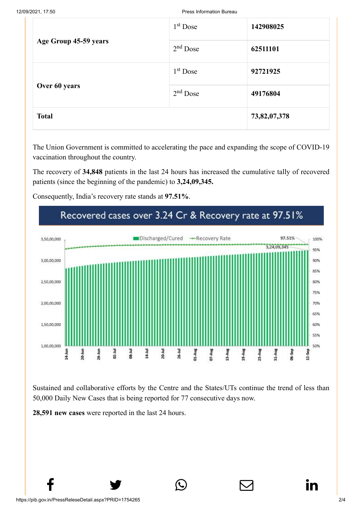| Age Group 45-59 years<br>Over 60 years | $1st$ Dose | 142908025    |
|----------------------------------------|------------|--------------|
|                                        | $2nd$ Dose | 62511101     |
|                                        | $1st$ Dose | 92721925     |
|                                        | $2nd$ Dose | 49176804     |
| <b>Total</b>                           |            | 73,82,07,378 |

The Union Government is committed to accelerating the pace and expanding the scope of COVID-19 vaccination throughout the country.

The recovery of **34,848** patients in the last 24 hours has increased the cumulative tally of recovered patients (since the beginning of the pandemic) to **3,24,09,345.**

Consequently, India's recovery rate stands at **97.51%**.



Sustained and collaborative efforts by the Centre and the States/UTs continue the trend of less than 50,000 Daily New Cases that is being reported for 77 consecutive days now.

 $f$  y  $\circledcirc$   $\quad \circledcirc$  in

**28,591 new cases** were reported in the last 24 hours.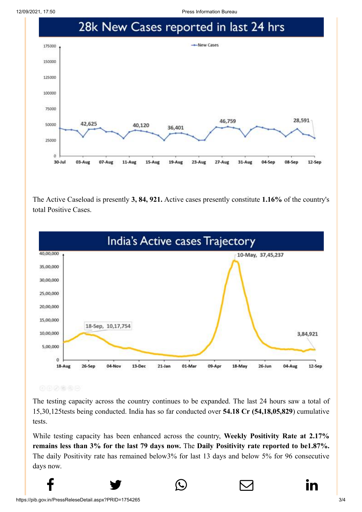12/09/2021, 17:50 Press Information Bureau



The Active Caseload is presently **3, 84, 921.** Active cases presently constitute **1.16%** of the country's total Positive Cases.



000000

The testing capacity across the country continues to be expanded. The last 24 hours saw a total of 15,30,125tests being conducted. India has so far conducted over **54.18 Cr (54,18,05,829**) cumulative tests.

While testing capacity has been enhanced across the country, **Weekly Positivity Rate at 2.17% remains less than 3% for the last 79 days now.** The **Daily Positivity rate reported to be1.87%.** The daily Positivity rate has remained below3% for last 13 days and below 5% for 96 consecutive days now.

 $f$  y  $\circledcirc$   $\quad \circledcirc$  in